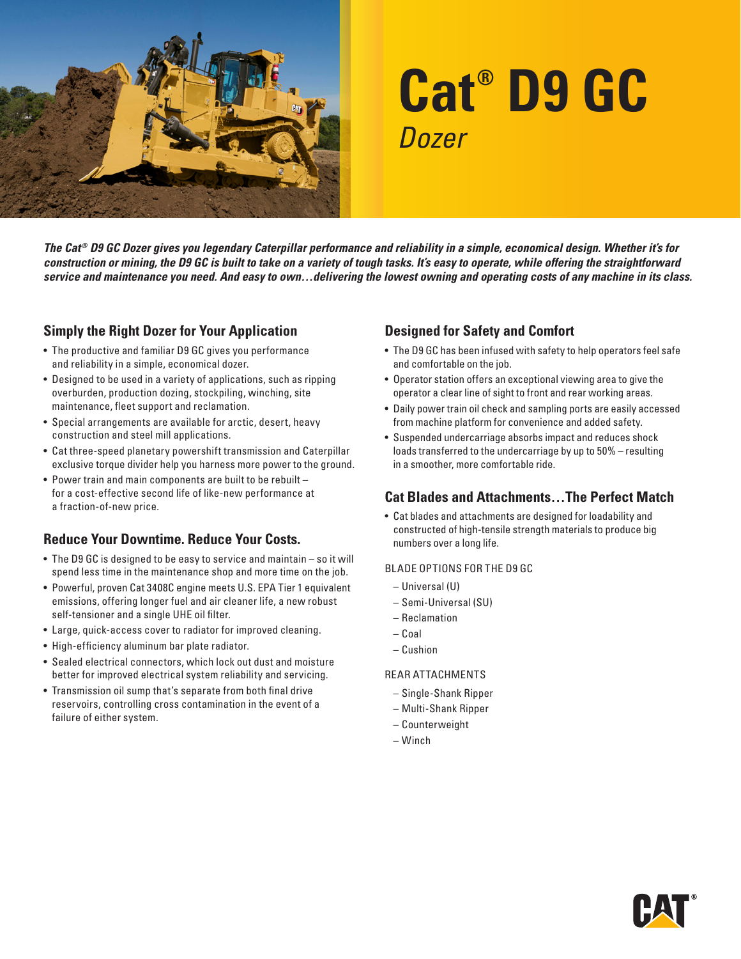

# **Cat® D9 GC** *Dozer*

*The Cat® D9 GC Dozer gives you legendary Caterpillar performance and reliability in a simple, economical design. Whether it's for construction or mining, the D9 GC is built to take on a variety of tough tasks. It's easy to operate, while offering the straightforward service and maintenance you need. And easy to own…delivering the lowest owning and operating costs of any machine in its class.*

# **Simply the Right Dozer for Your Application**

- The productive and familiar D9 GC gives you performance and reliability in a simple, economical dozer.
- Designed to be used in a variety of applications, such as ripping overburden, production dozing, stockpiling, winching, site maintenance, fleet support and reclamation.
- Special arrangements are available for arctic, desert, heavy construction and steel mill applications.
- Cat three-speed planetary powershift transmission and Caterpillar exclusive torque divider help you harness more power to the ground.
- Power train and main components are built to be rebuilt for a cost-effective second life of like-new performance at a fraction-of-new price.

# **Reduce Your Downtime. Reduce Your Costs.**

- The D9 GC is designed to be easy to service and maintain so it will spend less time in the maintenance shop and more time on the job.
- Powerful, proven Cat 3408C engine meets U.S. EPA Tier 1 equivalent emissions, offering longer fuel and air cleaner life, a new robust self-tensioner and a single UHE oil filter.
- Large, quick-access cover to radiator for improved cleaning.
- High-efficiency aluminum bar plate radiator.
- Sealed electrical connectors, which lock out dust and moisture better for improved electrical system reliability and servicing.
- Transmission oil sump that's separate from both final drive reservoirs, controlling cross contamination in the event of a failure of either system.

# **Designed for Safety and Comfort**

- The D9 GC has been infused with safety to help operators feel safe and comfortable on the job.
- Operator station offers an exceptional viewing area to give the operator a clear line of sight to front and rear working areas.
- Daily power train oil check and sampling ports are easily accessed from machine platform for convenience and added safety.
- Suspended undercarriage absorbs impact and reduces shock loads transferred to the undercarriage by up to 50% – resulting in a smoother, more comfortable ride.

### **Cat Blades and Attachments…The Perfect Match**

• Cat blades and attachments are designed for loadability and constructed of high-tensile strength materials to produce big numbers over a long life.

#### BLADE OPTIONS FOR THE D9 GC

- Universal (U)
- Semi-Universal (SU)
- Reclamation
- Coal
- Cushion

#### REAR ATTACHMENTS

- Single-Shank Ripper
- Multi-Shank Ripper
- Counterweight
- Winch

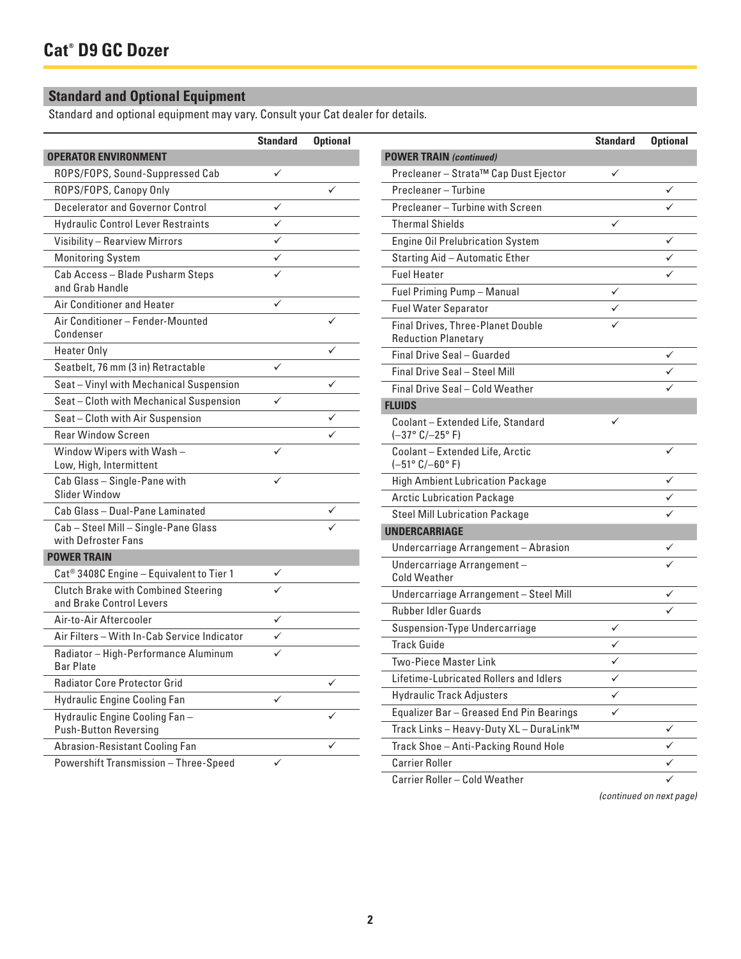# **Standard and Optional Equipment**

Standard and optional equipment may vary. Consult your Cat dealer for details.

|                                                                            | <b>Standard</b> | <b>Optional</b> |                                                                    | <b>Standard</b> | <b>Optio</b> |
|----------------------------------------------------------------------------|-----------------|-----------------|--------------------------------------------------------------------|-----------------|--------------|
| <b>OPERATOR ENVIRONMENT</b>                                                |                 |                 | <b>POWER TRAIN (continued)</b>                                     |                 |              |
| ROPS/FOPS, Sound-Suppressed Cab                                            | ✓               |                 | Precleaner - Strata™ Cap Dust Ejector                              | $\checkmark$    |              |
| ROPS/FOPS, Canopy Only                                                     |                 | $\checkmark$    | Precleaner - Turbine                                               |                 | ✓            |
| Decelerator and Governor Control                                           | $\checkmark$    |                 | Precleaner - Turbine with Screen                                   |                 | ✓            |
| <b>Hydraulic Control Lever Restraints</b>                                  | ✓               |                 | <b>Thermal Shields</b>                                             | $\checkmark$    |              |
| Visibility - Rearview Mirrors                                              | ✓               |                 | <b>Engine Oil Prelubrication System</b>                            |                 | ✓            |
| <b>Monitoring System</b>                                                   | ✓               |                 | Starting Aid - Automatic Ether                                     |                 | ✓            |
| Cab Access - Blade Pusharm Steps<br>and Grab Handle                        | ✓               |                 | <b>Fuel Heater</b><br>Fuel Priming Pump - Manual                   | $\checkmark$    | ✓            |
| Air Conditioner and Heater                                                 | ✓               |                 | <b>Fuel Water Separator</b>                                        | ✓               |              |
| Air Conditioner - Fender-Mounted<br>Condenser                              |                 | ✓               | Final Drives, Three-Planet Double<br><b>Reduction Planetary</b>    | ✓               |              |
| <b>Heater Only</b>                                                         |                 | $\checkmark$    | Final Drive Seal - Guarded                                         |                 | ✓            |
| Seatbelt, 76 mm (3 in) Retractable                                         | $\checkmark$    |                 | Final Drive Seal - Steel Mill                                      |                 | ✓            |
| Seat - Vinyl with Mechanical Suspension                                    |                 | $\checkmark$    | Final Drive Seal - Cold Weather                                    |                 | ✓            |
| Seat - Cloth with Mechanical Suspension                                    | ✓               |                 | <b>FLUIDS</b>                                                      |                 |              |
| Seat - Cloth with Air Suspension                                           |                 | ✓               | Coolant - Extended Life, Standard                                  | ✓               |              |
| <b>Rear Window Screen</b>                                                  |                 | ✓               | $(-37° C/-25° F)$                                                  |                 |              |
| Window Wipers with Wash-<br>Low, High, Intermittent                        | ✓               |                 | Coolant - Extended Life, Arctic<br>$(-51^{\circ} C/-60^{\circ} F)$ |                 | ✓            |
| Cab Glass - Single-Pane with                                               | ✓               |                 | <b>High Ambient Lubrication Package</b>                            |                 | ✓            |
| Slider Window                                                              |                 |                 | <b>Arctic Lubrication Package</b>                                  |                 | ✓            |
| Cab Glass - Dual-Pane Laminated                                            |                 | ✓               | <b>Steel Mill Lubrication Package</b>                              |                 | ✓            |
| Cab - Steel Mill - Single-Pane Glass<br>with Defroster Fans                |                 | ✓               | <b>UNDERCARRIAGE</b>                                               |                 |              |
|                                                                            |                 |                 | Undercarriage Arrangement - Abrasion                               |                 |              |
| <b>POWER TRAIN</b><br>Cat <sup>®</sup> 3408C Engine - Equivalent to Tier 1 | ✓               |                 | Undercarriage Arrangement-<br><b>Cold Weather</b>                  |                 |              |
| <b>Clutch Brake with Combined Steering</b>                                 | ✓               |                 | Undercarriage Arrangement - Steel Mill                             |                 |              |
| and Brake Control Levers                                                   |                 |                 | <b>Rubber Idler Guards</b>                                         |                 |              |
| Air-to-Air Aftercooler                                                     | ✓               |                 | Suspension-Type Undercarriage                                      | $\checkmark$    |              |
| Air Filters - With In-Cab Service Indicator                                | $\checkmark$    |                 | <b>Track Guide</b>                                                 | ✓               |              |
| Radiator - High-Performance Aluminum<br><b>Bar Plate</b>                   | ✓               |                 | <b>Two-Piece Master Link</b>                                       | $\checkmark$    |              |
| <b>Radiator Core Protector Grid</b>                                        |                 | $\checkmark$    | Lifetime-Lubricated Rollers and Idlers                             | $\checkmark$    |              |
| <b>Hydraulic Engine Cooling Fan</b>                                        | $\checkmark$    |                 | <b>Hydraulic Track Adjusters</b>                                   | $\checkmark$    |              |
| Hydraulic Engine Cooling Fan-                                              |                 | ✓               | Equalizer Bar - Greased End Pin Bearings                           | $\checkmark$    |              |
| <b>Push-Button Reversing</b>                                               |                 |                 | Track Links - Heavy-Duty XL - DuraLink™                            |                 | ✓            |
| Abrasion-Resistant Cooling Fan                                             |                 | ✓               | Track Shoe - Anti-Packing Round Hole                               |                 | ✓            |
| Powershift Transmission - Three-Speed                                      | ✓               |                 | <b>Carrier Roller</b>                                              |                 | ✓            |

Powershift Iransmission – Three-Speed

*(continued on next page)*

Carrier Roller – Cold Weather

**Standard Optional**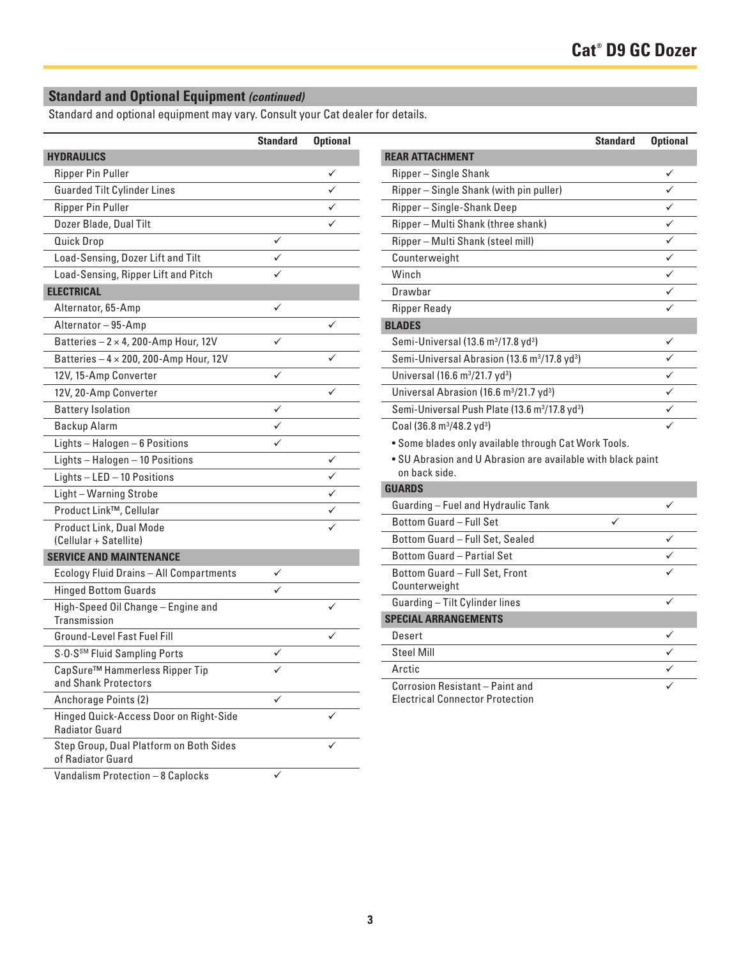# **Standard and Optional Equipment** *(continued)*

Standard and optional equipment may vary. Consult your Cat dealer for details.

|                                                                 | <b>Standard</b> | <b>Optional</b> |
|-----------------------------------------------------------------|-----------------|-----------------|
| <b>HYDRAULICS</b>                                               |                 |                 |
| <b>Ripper Pin Puller</b>                                        |                 | ✓               |
| <b>Guarded Tilt Cylinder Lines</b>                              |                 |                 |
| <b>Ripper Pin Puller</b>                                        |                 |                 |
| Dozer Blade, Dual Tilt                                          |                 |                 |
| <b>Quick Drop</b>                                               | ✓               |                 |
| Load-Sensing, Dozer Lift and Tilt                               |                 |                 |
| Load-Sensing, Ripper Lift and Pitch                             |                 |                 |
| <b>ELECTRICAL</b>                                               |                 |                 |
| Alternator, 65-Amp                                              | ✓               |                 |
| Alternator - 95-Amp                                             |                 | ✓               |
| Batteries $-2 \times 4$ , 200-Amp Hour, 12V                     | ✓               |                 |
| Batteries $-4 \times 200$ , 200-Amp Hour, 12V                   |                 |                 |
| 12V, 15-Amp Converter                                           | ✓               |                 |
| 12V, 20-Amp Converter                                           |                 | ✓               |
| <b>Battery Isolation</b>                                        | ✓               |                 |
| Backup Alarm                                                    |                 |                 |
| Lights-Halogen-6 Positions                                      | ✓               |                 |
| Lights-Halogen-10 Positions                                     |                 | ✓               |
| Lights $-$ LED $-$ 10 Positions                                 |                 |                 |
| Light-Warning Strobe                                            |                 |                 |
| Product Link™, Cellular                                         |                 |                 |
| Product Link, Dual Mode                                         |                 |                 |
| (Cellular + Satellite)                                          |                 |                 |
| <b>SERVICE AND MAINTENANCE</b>                                  |                 |                 |
| Ecology Fluid Drains - All Compartments                         | ✓               |                 |
| <b>Hinged Bottom Guards</b>                                     |                 |                 |
| High-Speed Oil Change - Engine and<br>Transmission              |                 |                 |
| Ground-Level Fast Fuel Fill                                     |                 |                 |
| S.O.S <sup>SM</sup> Fluid Sampling Ports                        | ✓               |                 |
| CapSure™ Hammerless Ripper Tip<br>and Shank Protectors          | ✓               |                 |
| Anchorage Points (2)                                            |                 |                 |
| Hinged Quick-Access Door on Right-Side<br><b>Radiator Guard</b> |                 |                 |
| Step Group, Dual Platform on Both Sides<br>of Radiator Guard    |                 |                 |
| Vandalism Protection - 8 Caplocks                               | ✓               |                 |

|                                                                              | <b>Standard</b> | <b>Optional</b> |
|------------------------------------------------------------------------------|-----------------|-----------------|
| <b>REAR ATTACHMENT</b>                                                       |                 |                 |
| Ripper - Single Shank                                                        |                 |                 |
| Ripper - Single Shank (with pin puller)                                      |                 |                 |
| Ripper-Single-Shank Deep                                                     |                 |                 |
| Ripper - Multi Shank (three shank)                                           |                 |                 |
| Ripper - Multi Shank (steel mill)                                            |                 | ✓               |
| Counterweight                                                                |                 | ✓               |
| Winch                                                                        |                 | ✓               |
| Drawhar                                                                      |                 |                 |
| <b>Ripper Ready</b>                                                          |                 |                 |
| <b>BLADES</b>                                                                |                 |                 |
| Semi-Universal (13.6 m <sup>3</sup> /17.8 yd <sup>3</sup> )                  |                 | ✓               |
| Semi-Universal Abrasion (13.6 m <sup>3</sup> /17.8 yd <sup>3</sup> )         |                 |                 |
| Universal (16.6 m <sup>3</sup> /21.7 yd <sup>3</sup> )                       |                 |                 |
| Universal Abrasion (16.6 m <sup>3</sup> /21.7 yd <sup>3</sup> )              |                 |                 |
| Semi-Universal Push Plate (13.6 m <sup>3</sup> /17.8 yd <sup>3</sup> )       |                 |                 |
| Coal (36.8 m <sup>3</sup> /48.2 yd <sup>3</sup> )                            |                 |                 |
| . Some blades only available through Cat Work Tools.                         |                 |                 |
| . SU Abrasion and U Abrasion are available with black paint<br>on back side. |                 |                 |
| <b>GUARDS</b>                                                                |                 |                 |
| Guarding - Fuel and Hydraulic Tank                                           |                 |                 |
| Bottom Guard - Full Set                                                      |                 |                 |
| Bottom Guard - Full Set, Sealed                                              |                 |                 |
| Bottom Guard - Partial Set                                                   |                 |                 |
| Bottom Guard - Full Set, Front<br>Counterweight                              |                 |                 |
| Guarding - Tilt Cylinder lines                                               |                 |                 |
| <b>SPECIAL ARRANGEMENTS</b>                                                  |                 |                 |
| Desert                                                                       |                 |                 |
| <b>Steel Mill</b>                                                            |                 |                 |
| Arctic                                                                       |                 |                 |
| Corrosion Resistant - Paint and<br><b>Electrical Connector Protection</b>    |                 |                 |